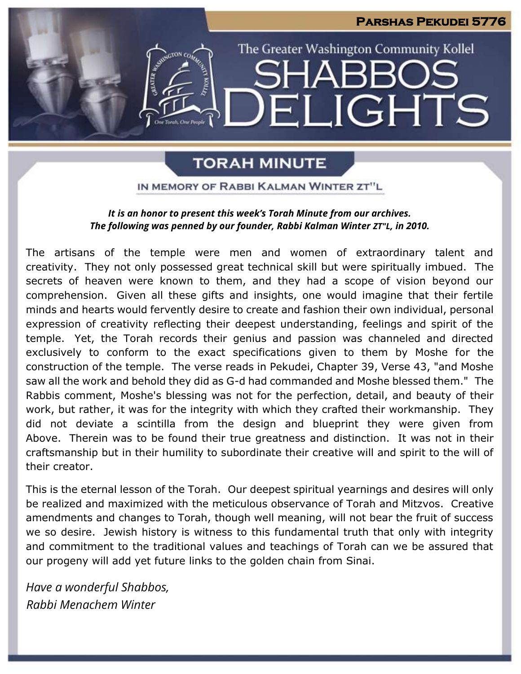# **Parshas Pekudei 5776** The Greater Washington Community Kollel LIGHTS EI

### **TORAH MINUTE**

IN MEMORY OF RABBI KALMAN WINTER ZT"L

### *It is an honor to present this week's Torah Minute from our archives. The following was penned by our founder, Rabbi Kalman Winter ZT"L, in 2010.*

The artisans of the temple were men and women of extraordinary talent and creativity. They not only possessed great technical skill but were spiritually imbued. The secrets of heaven were known to them, and they had a scope of vision beyond our comprehension. Given all these gifts and insights, one would imagine that their fertile minds and hearts would fervently desire to create and fashion their own individual, personal expression of creativity reflecting their deepest understanding, feelings and spirit of the temple. Yet, the Torah records their genius and passion was channeled and directed exclusively to conform to the exact specifications given to them by Moshe for the construction of the temple. The verse reads in Pekudei, Chapter 39, Verse 43, "and Moshe saw all the work and behold they did as G-d had commanded and Moshe blessed them." The Rabbis comment, Moshe's blessing was not for the perfection, detail, and beauty of their work, but rather, it was for the integrity with which they crafted their workmanship. They did not deviate a scintilla from the design and blueprint they were given from Above. Therein was to be found their true greatness and distinction. It was not in their craftsmanship but in their humility to subordinate their creative will and spirit to the will of their creator.

This is the eternal lesson of the Torah. Our deepest spiritual yearnings and desires will only be realized and maximized with the meticulous observance of Torah and Mitzvos. Creative amendments and changes to Torah, though well meaning, will not bear the fruit of success we so desire. Jewish history is witness to this fundamental truth that only with integrity and commitment to the traditional values and teachings of Torah can we be assured that our progeny will add yet future links to the golden chain from Sinai.

*Have a wonderful Shabbos, Rabbi Menachem Winter*